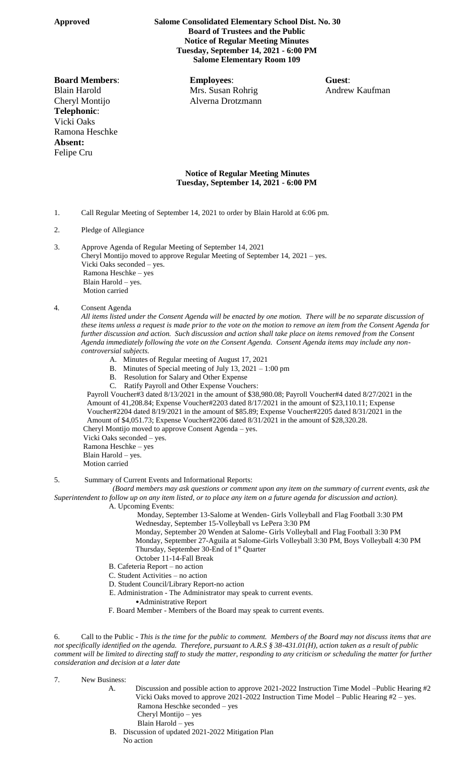## **Approved Salome Consolidated Elementary School Dist. No. 30 Board of Trustees and the Public Notice of Regular Meeting Minutes Tuesday, September 14, 2021 - 6:00 PM Salome Elementary Room 109**

## Cheryl Montijo Alverna Drotzmann **Telephonic**: Vicki Oaks Ramona Heschke **Absent:** Felipe Cru

**Board Members**: **Employees**: **Guest**: Blain Harold Mrs. Susan Rohrig Andrew Kaufman

## **Notice of Regular Meeting Minutes Tuesday, September 14, 2021 - 6:00 PM**

- 1. Call Regular Meeting of September 14, 2021 to order by Blain Harold at 6:06 pm.
- 2. Pledge of Allegiance
- 3. Approve Agenda of Regular Meeting of September 14, 2021
	- Cheryl Montijo moved to approve Regular Meeting of September 14, 2021 yes. Vicki Oaks seconded – yes. Ramona Heschke – yes Blain Harold – yes. Motion carried

## 4. Consent Agenda

*All items listed under the Consent Agenda will be enacted by one motion. There will be no separate discussion of these items unless a request is made prior to the vote on the motion to remove an item from the Consent Agenda for further discussion and action. Such discussion and action shall take place on items removed from the Consent Agenda immediately following the vote on the Consent Agenda. Consent Agenda items may include any noncontroversial subjects.*

- A. Minutes of Regular meeting of August 17, 2021
- B. Minutes of Special meeting of July 13, 2021 1:00 pm
- B. Resolution for Salary and Other Expense
- C. Ratify Payroll and Other Expense Vouchers:

 Payroll Voucher#3 dated 8/13/2021 in the amount of \$38,980.08; Payroll Voucher#4 dated 8/27/2021 in the Amount of 41,208.84; Expense Voucher#2203 dated 8/17/2021 in the amount of \$23,110.11; Expense Voucher#2204 dated 8/19/2021 in the amount of \$85.89; Expense Voucher#2205 dated 8/31/2021 in the Amount of \$4,051.73; Expense Voucher#2206 dated 8/31/2021 in the amount of \$28,320.28.

- Cheryl Montijo moved to approve Consent Agenda yes.
- Vicki Oaks seconded yes.
- Ramona Heschke yes
- Blain Harold yes. Motion carried

5. Summary of Current Events and Informational Reports:

 *(Board members may ask questions or comment upon any item on the summary of current events, ask the Superintendent to follow up on any item listed, or to place any item on a future agenda for discussion and action).*

A. Upcoming Events:

 Monday, September 13-Salome at Wenden- Girls Volleyball and Flag Football 3:30 PM Wednesday, September 15-Volleyball vs LePera 3:30 PM

- Monday, September 20 Wenden at Salome- Girls Volleyball and Flag Football 3:30 PM Monday, September 27-Aguila at Salome-Girls Volleyball 3:30 PM, Boys Volleyball 4:30 PM Thursday, September 30-End of 1<sup>st</sup> Quarter
- October 11-14-Fall Break
- B. Cafeteria Report no action
- C. Student Activities no action
- D. Student Council/Library Report-no action
- E. Administration The Administrator may speak to current events.
	- •Administrative Report
- F. Board Member Members of the Board may speak to current events.

6. Call to the Public - *This is the time for the public to comment. Members of the Board may not discuss items that are not specifically identified on the agenda. Therefore, pursuant to A.R.S § 38-431.01(H), action taken as a result of public comment will be limited to directing staff to study the matter, responding to any criticism or scheduling the matter for further consideration and decision at a later date*

7. New Business:

- A. Discussion and possible action to approve 2021-2022 Instruction Time Model –Public Hearing #2 Vicki Oaks moved to approve 2021-2022 Instruction Time Model – Public Hearing #2 – yes. Ramona Heschke seconded – yes Cheryl Montijo – yes Blain Harold – yes
	- B. Discussion of updated 2021-2022 Mitigation Plan

No action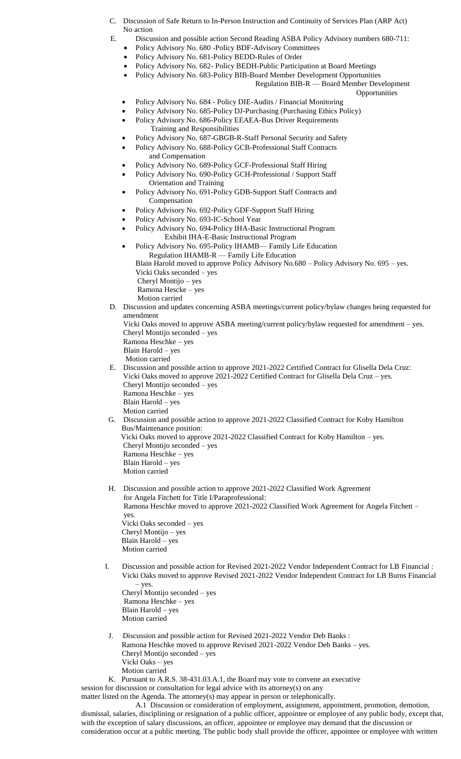- C. Discussion of Safe Return to In-Person Instruction and Continuity of Services Plan (ARP Act) No action
- E. Discussion and possible action Second Reading ASBA Policy Advisory numbers 680-711:
	- Policy Advisory No. 680 -Policy BDF-Advisory Committees
	- Policy Advisory No. 681-Policy BEDD-Rules of Order
	- Policy Advisory No. 682- Policy BEDH-Public Participation at Board Meetings
	- Policy Advisory No. 683-Policy BIB-Board Member Development Opportunities Regulation BIB-R — Board Member Development
		- Opportunities
	- Policy Advisory No. 684 Policy DIE-Audits / Financial Monitoring
	- Policy Advisory No. 685-Policy DJ-Purchasing (Purchasing Ethics Policy)
	- Policy Advisory No. 686-Policy EEAEA-Bus Driver Requirements
		- Training and Responsibilities
	- Policy Advisory No. 687-GBGB-R-Staff Personal Security and Safety
	- Policy Advisory No. 688-Policy GCB-Professional Staff Contracts and Compensation
	- Policy Advisory No. 689-Policy GCF-Professional Staff Hiring
	- Policy Advisory No. 690-Policy GCH-Professional / Support Staff Orientation and Training
	- Policy Advisory No. 691-Policy GDB-Support Staff Contracts and Compensation
	- Policy Advisory No. 692-Policy GDF-Support Staff Hiring
	- Policy Advisory No. 693-IC-School Year
	- Policy Advisory No. 694-Policy IHA-Basic Instructional Program Exhibit IHA-E-Basic Instructional Program
	- Policy Advisory No. 695-Policy IHAMB— Family Life Education Regulation IHAMB-R — Family Life Education
		- Blain Harold moved to approve Policy Advisory No.680 Policy Advisory No. 695 yes. Vicki Oaks seconded – yes
		- Cheryl Montijo yes
		- Ramona Hescke yes
		- Motion carried
- D. Discussion and updates concerning ASBA meetings/current policy/bylaw changes being requested for amendment
	- Vicki Oaks moved to approve ASBA meeting/current policy/bylaw requested for amendment yes. Cheryl Montijo seconded – yes Ramona Heschke – yes
	- Blain Harold yes
	- Motion carried
- E. Discussion and possible action to approve 2021-2022 Certified Contract for Glisella Dela Cruz: Vicki Oaks moved to approve 2021-2022 Certified Contract for Glisella Dela Cruz – yes. Cheryl Montijo seconded – yes Ramona Heschke – yes
	- Blain Harold yes
	- Motion carried
- G. Discussion and possible action to approve 2021-2022 Classified Contract for Koby Hamilton Bus/Maintenance position:
	- Vicki Oaks moved to approve 2021-2022 Classified Contract for Koby Hamilton yes. Cheryl Montijo seconded – yes
	- Ramona Heschke yes
	- Blain Harold yes Motion carried
- H. Discussion and possible action to approve 2021-2022 Classified Work Agreement for Angela Fitchett for Title I/Paraprofessional: Ramona Heschke moved to approve 2021-2022 Classified Work Agreement for Angela Fitchett – yes. Vicki Oaks seconded – yes Cheryl Montijo – yes
	- Blain Harold yes Motion carried
- I. Discussion and possible action for Revised 2021-2022 Vendor Independent Contract for LB Financial : Vicki Oaks moved to approve Revised 2021-2022 Vendor Independent Contract for LB Burns Financial – yes. Cheryl Montijo seconded – yes

```
Ramona Heschke – yes
Blain Harold – yes
Motion carried
```
- J. Discussion and possible action for Revised 2021-2022 Vendor Deb Banks : Ramona Heschke moved to approve Revised 2021-2022 Vendor Deb Banks – yes. Cheryl Montijo seconded – yes Vicki Oaks – yes Motion carried
- K. Pursuant to A.R.S. 38-431.03.A.1, the Board may vote to convene an executive

session for discussion or consultation for legal advice with its attorney(s) on any matter listed on the Agenda. The attorney(s) may appear in person or telephonically.

A.1 Discussion or consideration of employment, assignment, appointment, promotion, demotion,

dismissal, salaries, disciplining or resignation of a public officer, appointee or employee of any public body, except that, with the exception of salary discussions, an officer, appointee or employee may demand that the discussion or consideration occur at a public meeting. The public body shall provide the officer, appointee or employee with written